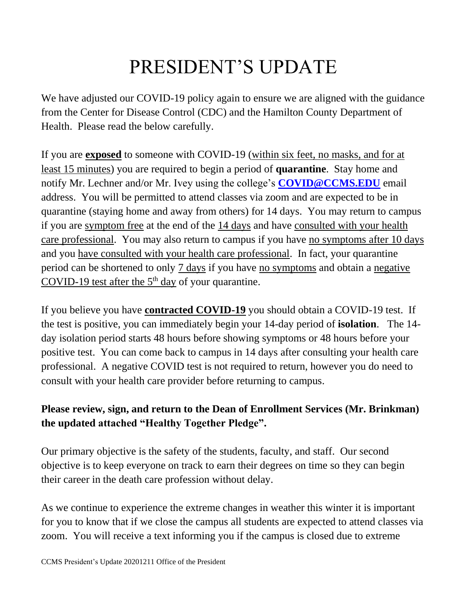## PRESIDENT'S UPDATE

We have adjusted our COVID-19 policy again to ensure we are aligned with the guidance from the Center for Disease Control (CDC) and the Hamilton County Department of Health. Please read the below carefully.

If you are **exposed** to someone with COVID-19 (within six feet, no masks, and for at least 15 minutes) you are required to begin a period of **quarantine**. Stay home and notify Mr. Lechner and/or Mr. Ivey using the college's **[COVID@CCMS.EDU](mailto:COVID@CCMS.EDU)** email address. You will be permitted to attend classes via zoom and are expected to be in quarantine (staying home and away from others) for 14 days. You may return to campus if you are symptom free at the end of the 14 days and have consulted with your health care professional. You may also return to campus if you have no symptoms after 10 days and you have consulted with your health care professional. In fact, your quarantine period can be shortened to only 7 days if you have no symptoms and obtain a negative COVID-19 test after the  $5<sup>th</sup>$  day of your quarantine.

If you believe you have **contracted COVID-19** you should obtain a COVID-19 test. If the test is positive, you can immediately begin your 14-day period of **isolation**. The 14 day isolation period starts 48 hours before showing symptoms or 48 hours before your positive test. You can come back to campus in 14 days after consulting your health care professional. A negative COVID test is not required to return, however you do need to consult with your health care provider before returning to campus.

## **Please review, sign, and return to the Dean of Enrollment Services (Mr. Brinkman) the updated attached "Healthy Together Pledge".**

Our primary objective is the safety of the students, faculty, and staff. Our second objective is to keep everyone on track to earn their degrees on time so they can begin their career in the death care profession without delay.

As we continue to experience the extreme changes in weather this winter it is important for you to know that if we close the campus all students are expected to attend classes via zoom. You will receive a text informing you if the campus is closed due to extreme